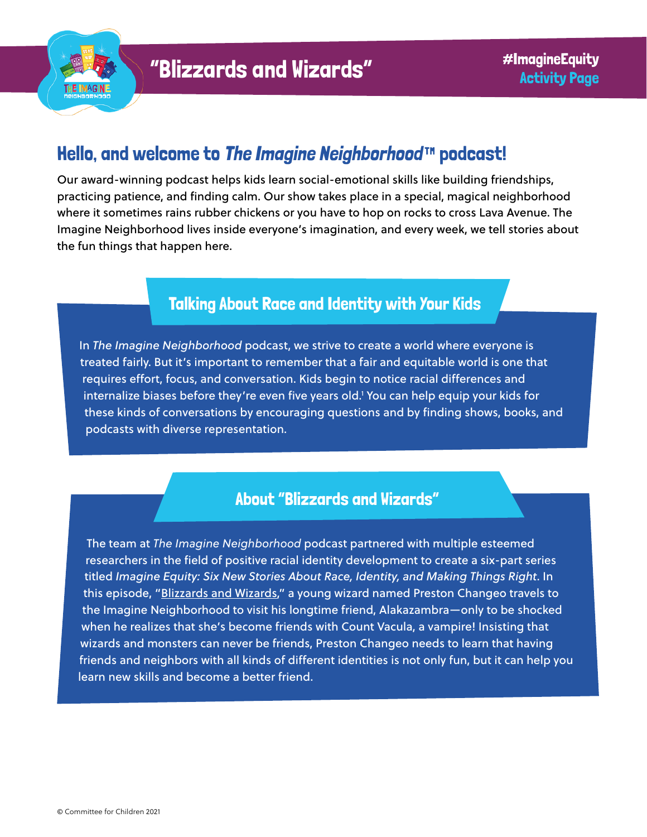

# Hello, and welcome to [The Imagine Neighborhood](https://www.imagineneighborhood.org/)™ podcast!

Our award-winning podcast helps kids learn social-emotional skills like building friendships, practicing patience, and finding calm. Our show takes place in a special, magical neighborhood where it sometimes rains rubber chickens or you have to hop on rocks to cross Lava Avenue. The Imagine Neighborhood lives inside everyone's imagination, and every week, we tell stories about the fun things that happen here.

### Talking About Race and Identity with Your Kids

In *The Imagine Neighborhood* podcast, we strive to create a world where everyone is treated fairly. But it's important to remember that a fair and equitable world is one that requires effort, focus, and conversation. Kids begin to notice racial differences and internalize biases before they're even five years old.1 You can help equip your kids for these kinds of conversations by encouraging questions and by finding shows, books, and podcasts with diverse representation.

### About "Blizzards and Wizards"

The team at *The Imagine Neighborhood* podcast partnered with multiple esteemed researchers in the field of positive racial identity development to create a six-part series titled *Imagine Equity: Six New Stories About Race, Identity, and Making Things Right*. In this episode, ["Blizzards and Wizards](https://www.imagineneighborhood.org/imagineequity)," a young wizard named Preston Changeo travels to the Imagine Neighborhood to visit his longtime friend, Alakazambra—only to be shocked when he realizes that she's become friends with Count Vacula, a vampire! Insisting that wizards and monsters can never be friends, Preston Changeo needs to learn that having friends and neighbors with all kinds of different identities is not only fun, but it can help you learn new skills and become a better friend.